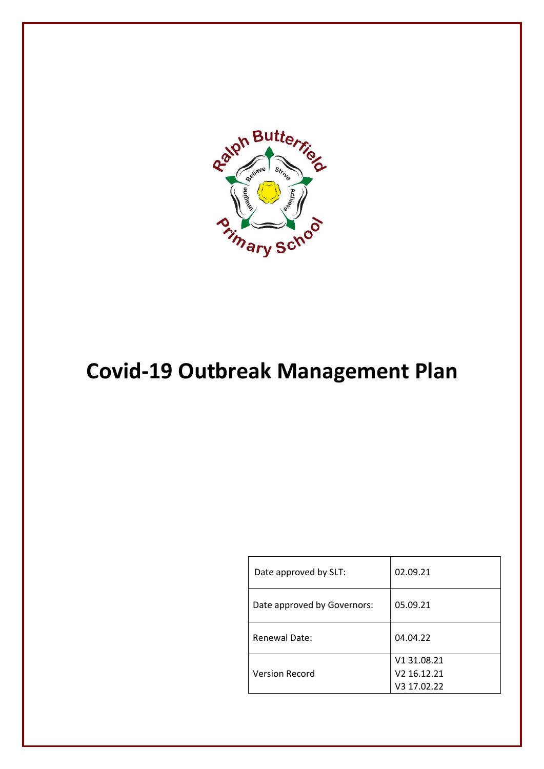

# **Covid-19 Outbreak Management Plan**

| Date approved by SLT:       | 02.09.21                |
|-----------------------------|-------------------------|
| Date approved by Governors: | 05.09.21                |
| Renewal Date:               | 04.04.22                |
|                             | V1 31.08.21             |
| <b>Version Record</b>       | V <sub>2</sub> 16.12.21 |
|                             | V3 17.02.22             |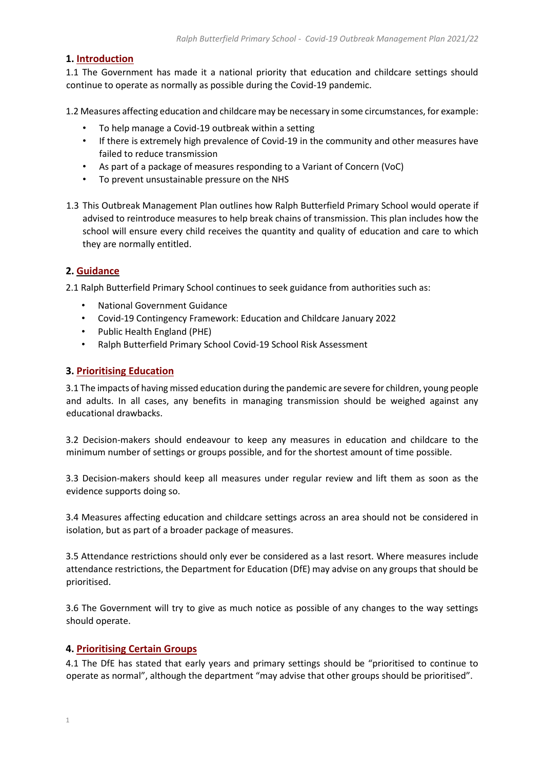#### **1. Introduction**

1.1 The Government has made it a national priority that education and childcare settings should continue to operate as normally as possible during the Covid-19 pandemic.

1.2 Measures affecting education and childcare may be necessary in some circumstances, for example:

- To help manage a Covid-19 outbreak within a setting
- If there is extremely high prevalence of Covid-19 in the community and other measures have failed to reduce transmission
- As part of a package of measures responding to a Variant of Concern (VoC)
- To prevent unsustainable pressure on the NHS
- 1.3 This Outbreak Management Plan outlines how Ralph Butterfield Primary School would operate if advised to reintroduce measures to help break chains of transmission. This plan includes how the school will ensure every child receives the quantity and quality of education and care to which they are normally entitled.

# **2. Guidance**

2.1 Ralph Butterfield Primary School continues to seek guidance from authorities such as:

- National Government Guidance
- Covid-19 Contingency Framework: Education and Childcare January 2022
- Public Health England (PHE)
- Ralph Butterfield Primary School Covid-19 School Risk Assessment

#### **3. Prioritising Education**

3.1 The impacts of having missed education during the pandemic are severe for children, young people and adults. In all cases, any benefits in managing transmission should be weighed against any educational drawbacks.

3.2 Decision-makers should endeavour to keep any measures in education and childcare to the minimum number of settings or groups possible, and for the shortest amount of time possible.

3.3 Decision-makers should keep all measures under regular review and lift them as soon as the evidence supports doing so.

3.4 Measures affecting education and childcare settings across an area should not be considered in isolation, but as part of a broader package of measures.

3.5 Attendance restrictions should only ever be considered as a last resort. Where measures include attendance restrictions, the Department for Education (DfE) may advise on any groups that should be prioritised.

3.6 The Government will try to give as much notice as possible of any changes to the way settings should operate.

# **4. Prioritising Certain Groups**

4.1 The DfE has stated that early years and primary settings should be "prioritised to continue to operate as normal", although the department "may advise that other groups should be prioritised".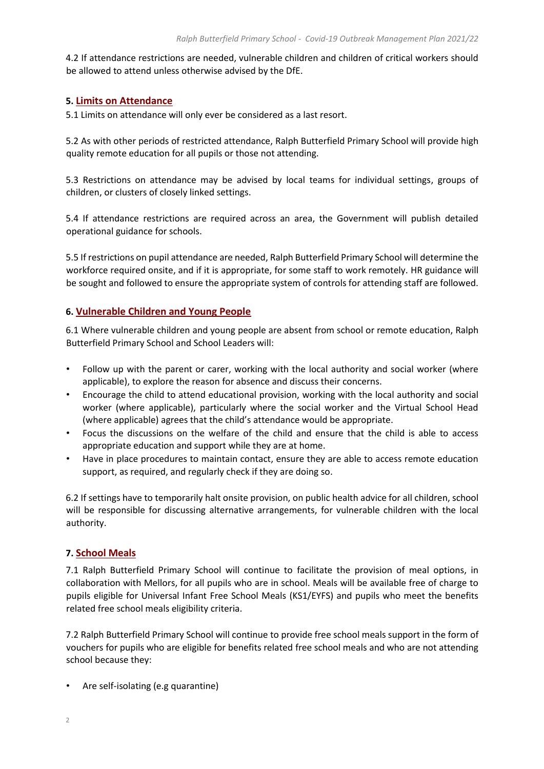4.2 If attendance restrictions are needed, vulnerable children and children of critical workers should be allowed to attend unless otherwise advised by the DfE.

# **5. Limits on Attendance**

5.1 Limits on attendance will only ever be considered as a last resort.

5.2 As with other periods of restricted attendance, Ralph Butterfield Primary School will provide high quality remote education for all pupils or those not attending.

5.3 Restrictions on attendance may be advised by local teams for individual settings, groups of children, or clusters of closely linked settings.

5.4 If attendance restrictions are required across an area, the Government will publish detailed operational guidance for schools.

5.5 If restrictions on pupil attendance are needed, Ralph Butterfield Primary School will determine the workforce required onsite, and if it is appropriate, for some staff to work remotely. HR guidance will be sought and followed to ensure the appropriate system of controls for attending staff are followed.

# **6. Vulnerable Children and Young People**

6.1 Where vulnerable children and young people are absent from school or remote education, Ralph Butterfield Primary School and School Leaders will:

- Follow up with the parent or carer, working with the local authority and social worker (where applicable), to explore the reason for absence and discuss their concerns.
- Encourage the child to attend educational provision, working with the local authority and social worker (where applicable), particularly where the social worker and the Virtual School Head (where applicable) agrees that the child's attendance would be appropriate.
- Focus the discussions on the welfare of the child and ensure that the child is able to access appropriate education and support while they are at home.
- Have in place procedures to maintain contact, ensure they are able to access remote education support, as required, and regularly check if they are doing so.

6.2 If settings have to temporarily halt onsite provision, on public health advice for all children, school will be responsible for discussing alternative arrangements, for vulnerable children with the local authority.

# **7. School Meals**

7.1 Ralph Butterfield Primary School will continue to facilitate the provision of meal options, in collaboration with Mellors, for all pupils who are in school. Meals will be available free of charge to pupils eligible for Universal Infant Free School Meals (KS1/EYFS) and pupils who meet the benefits related free school meals eligibility criteria.

7.2 Ralph Butterfield Primary School will continue to provide free school meals support in the form of vouchers for pupils who are eligible for benefits related free school meals and who are not attending school because they:

• Are self-isolating (e.g quarantine)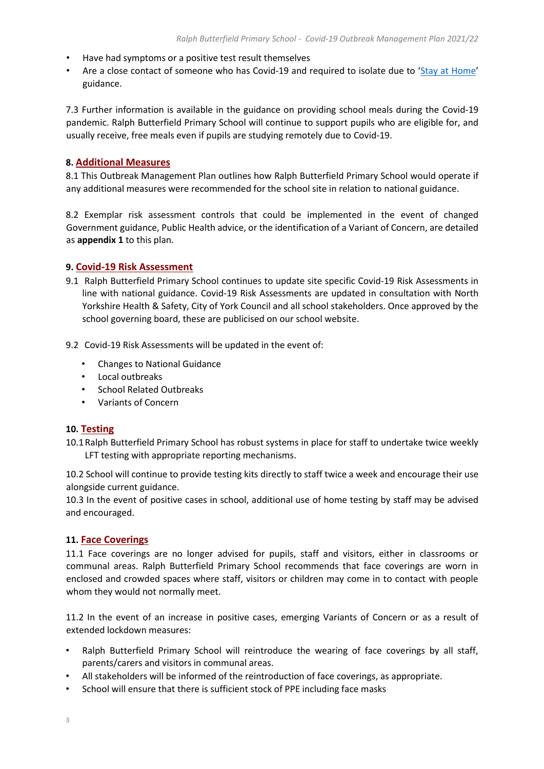- Have had symptoms or a positive test result themselves
- Are a close contact of someone who has Covid-19 and required to isolate due to '[Stay at Home](https://www.gov.uk/government/publications/covid-19-stay-at-home-guidance/stay-at-home-guidance-for-households-with-possible-coronavirus-covid-19-infection)' guidance.

7.3 Further information is available in the guidance on providing school meals during the Covid-19 pandemic. Ralph Butterfield Primary School will continue to support pupils who are eligible for, and usually receive, free meals even if pupils are studying remotely due to Covid-19.

# **8. Additional Measures**

8.1 This Outbreak Management Plan outlines how Ralph Butterfield Primary School would operate if any additional measures were recommended for the school site in relation to national guidance.

8.2 Exemplar risk assessment controls that could be implemented in the event of changed Government guidance, Public Health advice, or the identification of a Variant of Concern, are detailed as **appendix 1** to this plan.

# **9. Covid-19 Risk Assessment**

- 9.1 Ralph Butterfield Primary School continues to update site specific Covid-19 Risk Assessments in line with national guidance. Covid-19 Risk Assessments are updated in consultation with North Yorkshire Health & Safety, City of York Council and all school stakeholders. Once approved by the school governing board, these are publicised on our school website.
- 9.2 Covid-19 Risk Assessments will be updated in the event of:
	- Changes to National Guidance
	- Local outbreaks
	- School Related Outbreaks
	- Variants of Concern

#### **10. Testing**

10.1Ralph Butterfield Primary School has robust systems in place for staff to undertake twice weekly LFT testing with appropriate reporting mechanisms.

10.2 School will continue to provide testing kits directly to staff twice a week and encourage their use alongside current guidance.

10.3 In the event of positive cases in school, additional use of home testing by staff may be advised and encouraged.

#### **11. Face Coverings**

11.1 Face coverings are no longer advised for pupils, staff and visitors, either in classrooms or communal areas. Ralph Butterfield Primary School recommends that face coverings are worn in enclosed and crowded spaces where staff, visitors or children may come in to contact with people whom they would not normally meet.

11.2 In the event of an increase in positive cases, emerging Variants of Concern or as a result of extended lockdown measures:

- Ralph Butterfield Primary School will reintroduce the wearing of face coverings by all staff, parents/carers and visitors in communal areas.
- All stakeholders will be informed of the reintroduction of face coverings, as appropriate.
- School will ensure that there is sufficient stock of PPE including face masks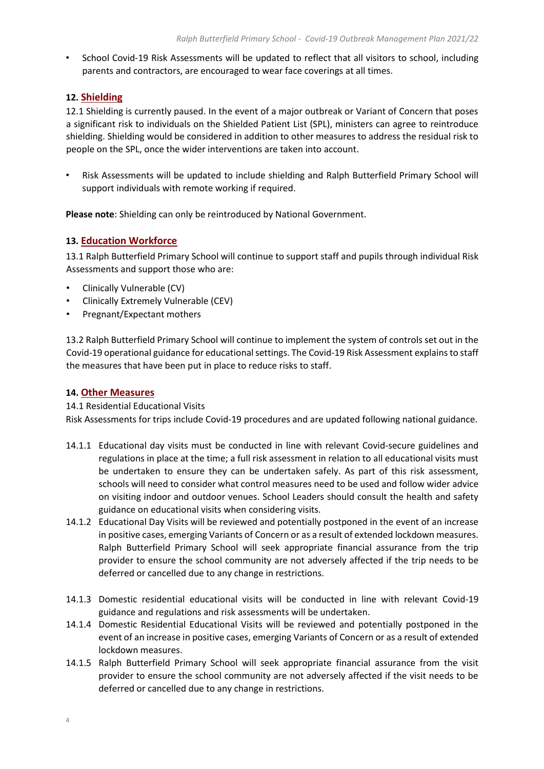• School Covid-19 Risk Assessments will be updated to reflect that all visitors to school, including parents and contractors, are encouraged to wear face coverings at all times.

# **12. Shielding**

12.1 Shielding is currently paused. In the event of a major outbreak or Variant of Concern that poses a significant risk to individuals on the Shielded Patient List (SPL), ministers can agree to reintroduce shielding. Shielding would be considered in addition to other measures to address the residual risk to people on the SPL, once the wider interventions are taken into account.

• Risk Assessments will be updated to include shielding and Ralph Butterfield Primary School will support individuals with remote working if required.

**Please note**: Shielding can only be reintroduced by National Government.

# **13. Education Workforce**

13.1 Ralph Butterfield Primary School will continue to support staff and pupils through individual Risk Assessments and support those who are:

- Clinically Vulnerable (CV)
- Clinically Extremely Vulnerable (CEV)
- Pregnant/Expectant mothers

13.2 Ralph Butterfield Primary School will continue to implement the system of controls set out in the Covid-19 operational guidance for educational settings. The Covid-19 Risk Assessment explainsto staff the measures that have been put in place to reduce risks to staff.

# **14. Other Measures**

14.1 Residential Educational Visits

Risk Assessments for trips include Covid-19 procedures and are updated following national guidance.

- 14.1.1 Educational day visits must be conducted in line with relevant Covid-secure guidelines and regulations in place at the time; a full risk assessment in relation to all educational visits must be undertaken to ensure they can be undertaken safely. As part of this risk assessment, schools will need to consider what control measures need to be used and follow wider advice on visiting indoor and outdoor venues. School Leaders should consult the health and safety guidance on educational visits when considering visits.
- 14.1.2 Educational Day Visits will be reviewed and potentially postponed in the event of an increase in positive cases, emerging Variants of Concern or as a result of extended lockdown measures. Ralph Butterfield Primary School will seek appropriate financial assurance from the trip provider to ensure the school community are not adversely affected if the trip needs to be deferred or cancelled due to any change in restrictions.
- 14.1.3 Domestic residential educational visits will be conducted in line with relevant Covid-19 guidance and regulations and risk assessments will be undertaken.
- 14.1.4 Domestic Residential Educational Visits will be reviewed and potentially postponed in the event of an increase in positive cases, emerging Variants of Concern or as a result of extended lockdown measures.
- 14.1.5 Ralph Butterfield Primary School will seek appropriate financial assurance from the visit provider to ensure the school community are not adversely affected if the visit needs to be deferred or cancelled due to any change in restrictions.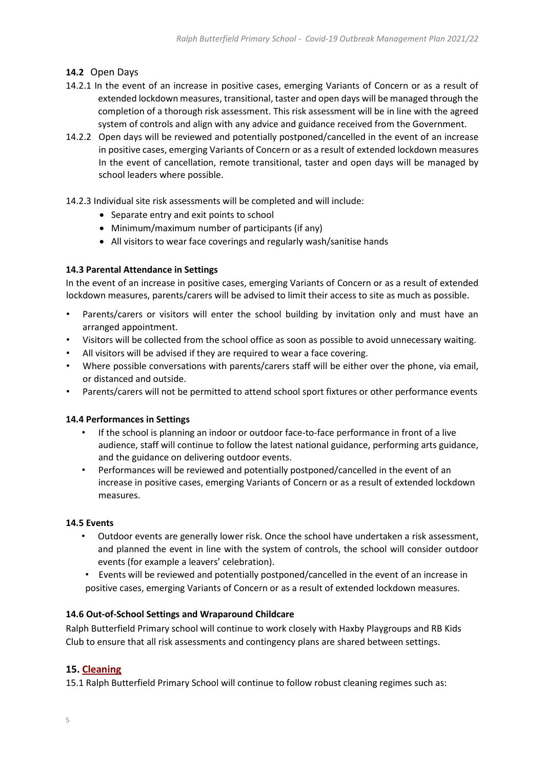# **14.2** Open Days

- 14.2.1 In the event of an increase in positive cases, emerging Variants of Concern or as a result of extended lockdown measures, transitional, taster and open days will be managed through the completion of a thorough risk assessment. This risk assessment will be in line with the agreed system of controls and align with any advice and guidance received from the Government.
- 14.2.2 Open days will be reviewed and potentially postponed/cancelled in the event of an increase in positive cases, emerging Variants of Concern or as a result of extended lockdown measures In the event of cancellation, remote transitional, taster and open days will be managed by school leaders where possible.

14.2.3 Individual site risk assessments will be completed and will include:

- Separate entry and exit points to school
- Minimum/maximum number of participants (if any)
- All visitors to wear face coverings and regularly wash/sanitise hands

#### **14.3 Parental Attendance in Settings**

In the event of an increase in positive cases, emerging Variants of Concern or as a result of extended lockdown measures, parents/carers will be advised to limit their access to site as much as possible.

- Parents/carers or visitors will enter the school building by invitation only and must have an arranged appointment.
- Visitors will be collected from the school office as soon as possible to avoid unnecessary waiting.
- All visitors will be advised if they are required to wear a face covering.
- Where possible conversations with parents/carers staff will be either over the phone, via email, or distanced and outside.
- Parents/carers will not be permitted to attend school sport fixtures or other performance events

#### **14.4 Performances in Settings**

- If the school is planning an indoor or outdoor face-to-face performance in front of a live audience, staff will continue to follow the latest national guidance[,](https://www.gov.uk/guidance/working-safely-during-coronavirus-covid-19/performing-arts) performin[g](https://www.gov.uk/guidance/working-safely-during-coronavirus-covid-19/performing-arts) [arts](https://www.gov.uk/guidance/working-safely-during-coronavirus-covid-19/performing-arts) [guidance,](https://www.gov.uk/guidance/working-safely-during-coronavirus-covid-19/performing-arts) and the guidance on [d](https://www.eventsindustryforum.co.uk/index.php/11-features/14-keeping-workers-and-audiences-safe-during-covid-19)eliverin[g](https://www.eventsindustryforum.co.uk/index.php/11-features/14-keeping-workers-and-audiences-safe-during-covid-19) outdoo[r](https://www.eventsindustryforum.co.uk/index.php/11-features/14-keeping-workers-and-audiences-safe-during-covid-19) event[s.](https://www.eventsindustryforum.co.uk/index.php/11-features/14-keeping-workers-and-audiences-safe-during-covid-19)
- Performances will be reviewed and potentially postponed/cancelled in the event of an increase in positive cases, emerging Variants of Concern or as a result of extended lockdown measures.

#### **14.5 Events**

- Outdoor events are generally lower risk. Once the school have undertaken a risk assessment, and planned the event in line with the system of controls, the school will consider outdoor events (for example a leavers' celebration).
- Events will be reviewed and potentially postponed/cancelled in the event of an increase in positive cases, emerging Variants of Concern or as a result of extended lockdown measures.

#### **14.6 Out-of-School Settings and Wraparound Childcare**

Ralph Butterfield Primary school will continue to work closely with Haxby Playgroups and RB Kids Club to ensure that all risk assessments and contingency plans are shared between settings.

#### **15. Cleaning**

15.1 Ralph Butterfield Primary School will continue to follow robust cleaning regimes such as: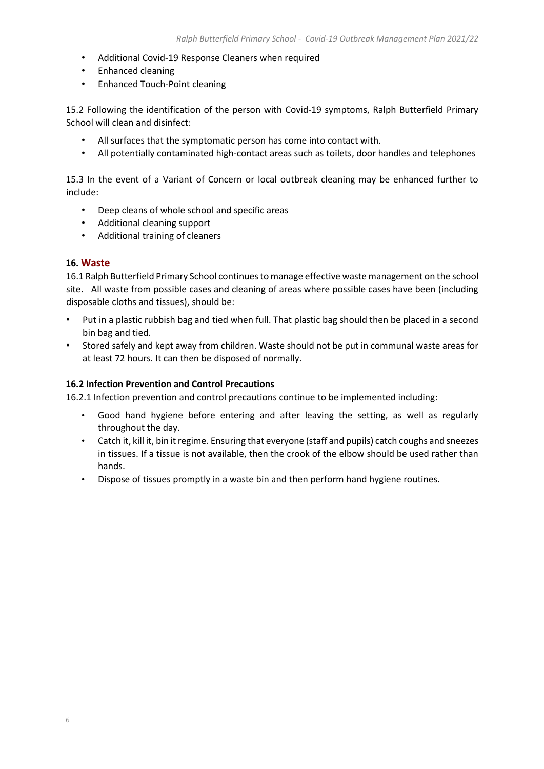- Additional Covid-19 Response Cleaners when required
- Enhanced cleaning
- Enhanced Touch-Point cleaning

15.2 Following the identification of the person with Covid-19 symptoms, Ralph Butterfield Primary School will clean and disinfect:

- All surfaces that the symptomatic person has come into contact with.
- All potentially contaminated high-contact areas such as toilets, door handles and telephones

15.3 In the event of a Variant of Concern or local outbreak cleaning may be enhanced further to include:

- Deep cleans of whole school and specific areas
- Additional cleaning support
- Additional training of cleaners

#### **16. Waste**

16.1 Ralph Butterfield Primary School continues to manage effective waste management on the school site. All waste from possible cases and cleaning of areas where possible cases have been (including disposable cloths and tissues), should be:

- Put in a plastic rubbish bag and tied when full. That plastic bag should then be placed in a second bin bag and tied.
- Stored safely and kept away from children. Waste should not be put in communal waste areas for at least 72 hours. It can then be disposed of normally.

#### **16.2 Infection Prevention and Control Precautions**

16.2.1 Infection prevention and control precautions continue to be implemented including:

- Good hand hygiene before entering and after leaving the setting, as well as regularly throughout the day.
- Catch it, kill it, bin it regime. Ensuring that everyone (staff and pupils) catch coughs and sneezes in tissues. If a tissue is not available, then the crook of the elbow should be used rather than hands.
- Dispose of tissues promptly in a waste bin and then perform hand hygiene routines.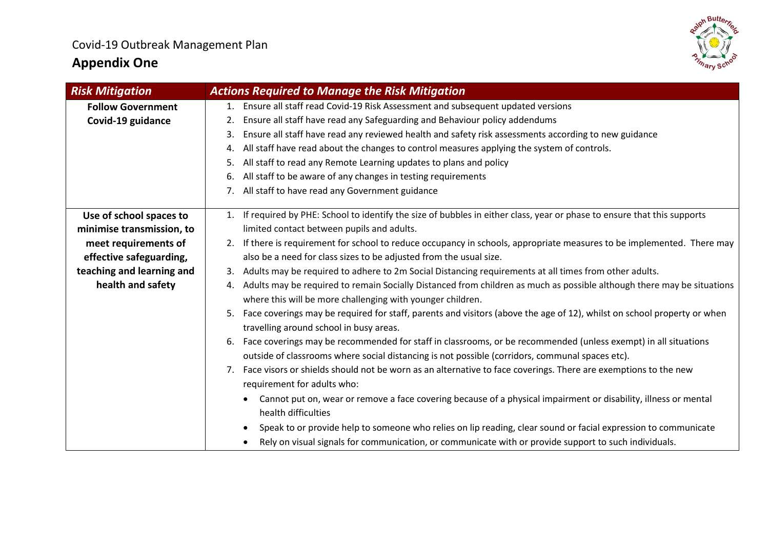# **Appendix One**



| <b>Risk Mitigation</b>    | <b>Actions Required to Manage the Risk Mitigation</b>                                                                                  |
|---------------------------|----------------------------------------------------------------------------------------------------------------------------------------|
| <b>Follow Government</b>  | 1. Ensure all staff read Covid-19 Risk Assessment and subsequent updated versions                                                      |
| Covid-19 guidance         | Ensure all staff have read any Safeguarding and Behaviour policy addendums                                                             |
|                           | Ensure all staff have read any reviewed health and safety risk assessments according to new guidance<br>3.                             |
|                           | All staff have read about the changes to control measures applying the system of controls.<br>4.                                       |
|                           | All staff to read any Remote Learning updates to plans and policy<br>5.                                                                |
|                           | All staff to be aware of any changes in testing requirements<br>6.                                                                     |
|                           | All staff to have read any Government guidance<br>7.                                                                                   |
|                           |                                                                                                                                        |
| Use of school spaces to   | 1. If required by PHE: School to identify the size of bubbles in either class, year or phase to ensure that this supports              |
| minimise transmission, to | limited contact between pupils and adults.                                                                                             |
| meet requirements of      | If there is requirement for school to reduce occupancy in schools, appropriate measures to be implemented. There may<br>2.             |
| effective safeguarding,   | also be a need for class sizes to be adjusted from the usual size.                                                                     |
| teaching and learning and | Adults may be required to adhere to 2m Social Distancing requirements at all times from other adults.<br>3.                            |
| health and safety         | Adults may be required to remain Socially Distanced from children as much as possible although there may be situations<br>4.           |
|                           | where this will be more challenging with younger children.                                                                             |
|                           | Face coverings may be required for staff, parents and visitors (above the age of 12), whilst on school property or when                |
|                           | travelling around school in busy areas.                                                                                                |
|                           | Face coverings may be recommended for staff in classrooms, or be recommended (unless exempt) in all situations<br>6.                   |
|                           | outside of classrooms where social distancing is not possible (corridors, communal spaces etc).                                        |
|                           | 7. Face visors or shields should not be worn as an alternative to face coverings. There are exemptions to the new                      |
|                           | requirement for adults who:                                                                                                            |
|                           | Cannot put on, wear or remove a face covering because of a physical impairment or disability, illness or mental<br>health difficulties |
|                           | Speak to or provide help to someone who relies on lip reading, clear sound or facial expression to communicate<br>$\bullet$            |
|                           | Rely on visual signals for communication, or communicate with or provide support to such individuals.                                  |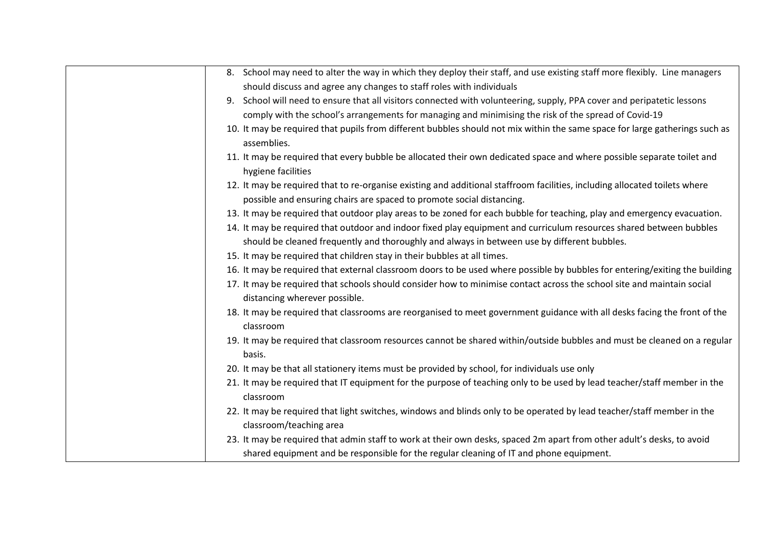| 8. School may need to alter the way in which they deploy their staff, and use existing staff more flexibly. Line managers                                                                                         |
|-------------------------------------------------------------------------------------------------------------------------------------------------------------------------------------------------------------------|
| should discuss and agree any changes to staff roles with individuals                                                                                                                                              |
| 9. School will need to ensure that all visitors connected with volunteering, supply, PPA cover and peripatetic lessons                                                                                            |
| comply with the school's arrangements for managing and minimising the risk of the spread of Covid-19                                                                                                              |
| 10. It may be required that pupils from different bubbles should not mix within the same space for large gatherings such as<br>assemblies.                                                                        |
| 11. It may be required that every bubble be allocated their own dedicated space and where possible separate toilet and<br>hygiene facilities                                                                      |
| 12. It may be required that to re-organise existing and additional staffroom facilities, including allocated toilets where<br>possible and ensuring chairs are spaced to promote social distancing.               |
| 13. It may be required that outdoor play areas to be zoned for each bubble for teaching, play and emergency evacuation.                                                                                           |
| 14. It may be required that outdoor and indoor fixed play equipment and curriculum resources shared between bubbles                                                                                               |
| should be cleaned frequently and thoroughly and always in between use by different bubbles.                                                                                                                       |
| 15. It may be required that children stay in their bubbles at all times.                                                                                                                                          |
| 16. It may be required that external classroom doors to be used where possible by bubbles for entering/exiting the building                                                                                       |
| 17. It may be required that schools should consider how to minimise contact across the school site and maintain social                                                                                            |
| distancing wherever possible.                                                                                                                                                                                     |
| 18. It may be required that classrooms are reorganised to meet government guidance with all desks facing the front of the<br>classroom                                                                            |
| 19. It may be required that classroom resources cannot be shared within/outside bubbles and must be cleaned on a regular<br>basis.                                                                                |
| 20. It may be that all stationery items must be provided by school, for individuals use only                                                                                                                      |
| 21. It may be required that IT equipment for the purpose of teaching only to be used by lead teacher/staff member in the<br>classroom                                                                             |
| 22. It may be required that light switches, windows and blinds only to be operated by lead teacher/staff member in the<br>classroom/teaching area                                                                 |
| 23. It may be required that admin staff to work at their own desks, spaced 2m apart from other adult's desks, to avoid<br>shared equipment and be responsible for the regular cleaning of IT and phone equipment. |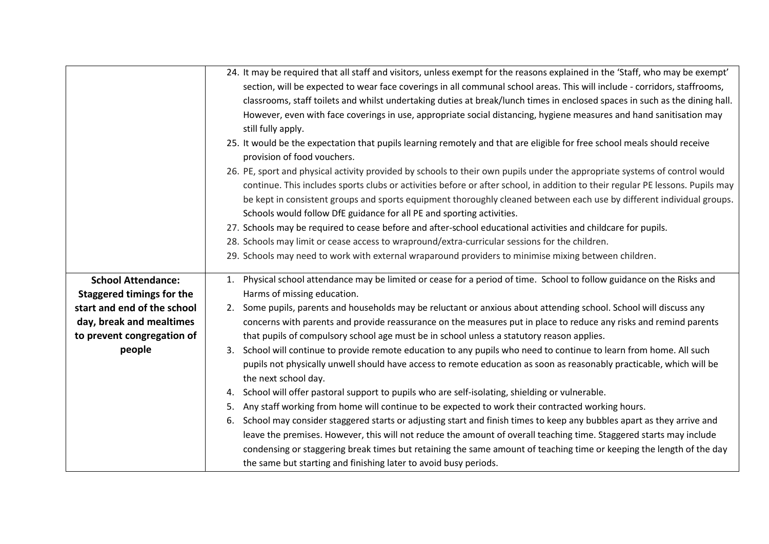|                             | 24. It may be required that all staff and visitors, unless exempt for the reasons explained in the 'Staff, who may be exempt'  |
|-----------------------------|--------------------------------------------------------------------------------------------------------------------------------|
|                             | section, will be expected to wear face coverings in all communal school areas. This will include - corridors, staffrooms,      |
|                             | classrooms, staff toilets and whilst undertaking duties at break/lunch times in enclosed spaces in such as the dining hall.    |
|                             | However, even with face coverings in use, appropriate social distancing, hygiene measures and hand sanitisation may            |
|                             | still fully apply.                                                                                                             |
|                             | 25. It would be the expectation that pupils learning remotely and that are eligible for free school meals should receive       |
|                             | provision of food vouchers.                                                                                                    |
|                             | 26. PE, sport and physical activity provided by schools to their own pupils under the appropriate systems of control would     |
|                             | continue. This includes sports clubs or activities before or after school, in addition to their regular PE lessons. Pupils may |
|                             | be kept in consistent groups and sports equipment thoroughly cleaned between each use by different individual groups.          |
|                             | Schools would follow DfE guidance for all PE and sporting activities.                                                          |
|                             | 27. Schools may be required to cease before and after-school educational activities and childcare for pupils.                  |
|                             | 28. Schools may limit or cease access to wrapround/extra-curricular sessions for the children.                                 |
|                             | 29. Schools may need to work with external wraparound providers to minimise mixing between children.                           |
| <b>School Attendance:</b>   | Physical school attendance may be limited or cease for a period of time. School to follow guidance on the Risks and<br>1.      |
| Staggered timings for the   | Harms of missing education.                                                                                                    |
| start and end of the school | 2. Some pupils, parents and households may be reluctant or anxious about attending school. School will discuss any             |
| day, break and mealtimes    | concerns with parents and provide reassurance on the measures put in place to reduce any risks and remind parents              |
| to prevent congregation of  | that pupils of compulsory school age must be in school unless a statutory reason applies.                                      |
| people                      | 3. School will continue to provide remote education to any pupils who need to continue to learn from home. All such            |
|                             | pupils not physically unwell should have access to remote education as soon as reasonably practicable, which will be           |
|                             | the next school day.                                                                                                           |
|                             | School will offer pastoral support to pupils who are self-isolating, shielding or vulnerable.<br>4.                            |
|                             | Any staff working from home will continue to be expected to work their contracted working hours.<br>5.                         |
|                             | School may consider staggered starts or adjusting start and finish times to keep any bubbles apart as they arrive and<br>6.    |
|                             | leave the premises. However, this will not reduce the amount of overall teaching time. Staggered starts may include            |
|                             | condensing or staggering break times but retaining the same amount of teaching time or keeping the length of the day           |
|                             | the same but starting and finishing later to avoid busy periods.                                                               |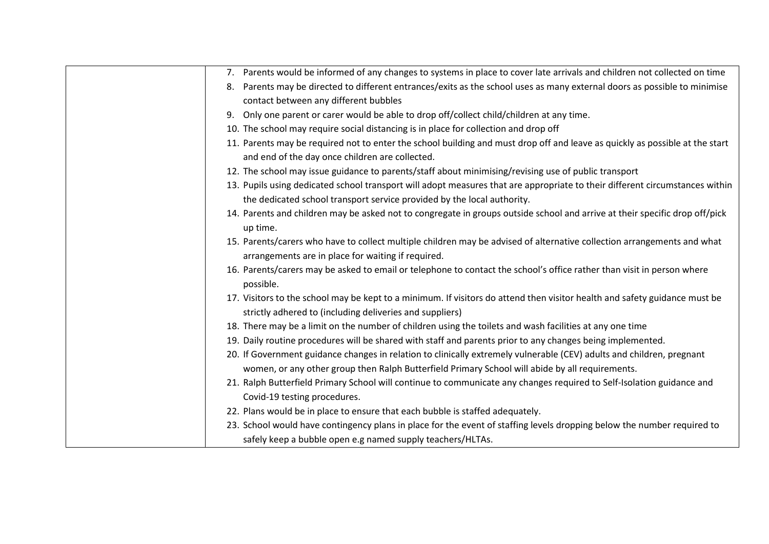| 7. Parents would be informed of any changes to systems in place to cover late arrivals and children not collected on time                                                                               |
|---------------------------------------------------------------------------------------------------------------------------------------------------------------------------------------------------------|
| Parents may be directed to different entrances/exits as the school uses as many external doors as possible to minimise<br>8.                                                                            |
| contact between any different bubbles                                                                                                                                                                   |
| 9. Only one parent or carer would be able to drop off/collect child/children at any time.                                                                                                               |
| 10. The school may require social distancing is in place for collection and drop off                                                                                                                    |
| 11. Parents may be required not to enter the school building and must drop off and leave as quickly as possible at the start<br>and end of the day once children are collected.                         |
| 12. The school may issue guidance to parents/staff about minimising/revising use of public transport                                                                                                    |
| 13. Pupils using dedicated school transport will adopt measures that are appropriate to their different circumstances within<br>the dedicated school transport service provided by the local authority. |
| 14. Parents and children may be asked not to congregate in groups outside school and arrive at their specific drop off/pick<br>up time.                                                                 |
| 15. Parents/carers who have to collect multiple children may be advised of alternative collection arrangements and what<br>arrangements are in place for waiting if required.                           |
| 16. Parents/carers may be asked to email or telephone to contact the school's office rather than visit in person where<br>possible.                                                                     |
| 17. Visitors to the school may be kept to a minimum. If visitors do attend then visitor health and safety guidance must be<br>strictly adhered to (including deliveries and suppliers)                  |
| 18. There may be a limit on the number of children using the toilets and wash facilities at any one time                                                                                                |
| 19. Daily routine procedures will be shared with staff and parents prior to any changes being implemented.                                                                                              |
| 20. If Government guidance changes in relation to clinically extremely vulnerable (CEV) adults and children, pregnant                                                                                   |
| women, or any other group then Ralph Butterfield Primary School will abide by all requirements.                                                                                                         |
| 21. Ralph Butterfield Primary School will continue to communicate any changes required to Self-Isolation guidance and<br>Covid-19 testing procedures.                                                   |
| 22. Plans would be in place to ensure that each bubble is staffed adequately.                                                                                                                           |
| 23. School would have contingency plans in place for the event of staffing levels dropping below the number required to                                                                                 |
| safely keep a bubble open e.g named supply teachers/HLTAs.                                                                                                                                              |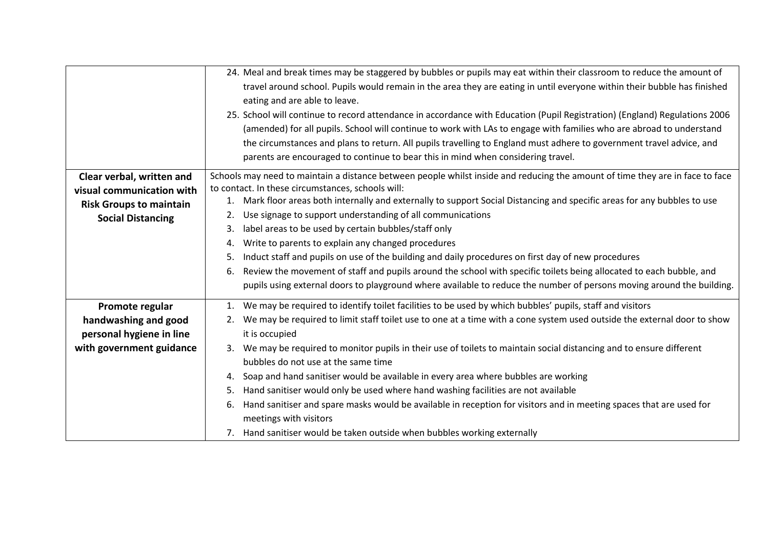|                                | 24. Meal and break times may be staggered by bubbles or pupils may eat within their classroom to reduce the amount of         |
|--------------------------------|-------------------------------------------------------------------------------------------------------------------------------|
|                                | travel around school. Pupils would remain in the area they are eating in until everyone within their bubble has finished      |
|                                | eating and are able to leave.                                                                                                 |
|                                | 25. School will continue to record attendance in accordance with Education (Pupil Registration) (England) Regulations 2006    |
|                                | (amended) for all pupils. School will continue to work with LAs to engage with families who are abroad to understand          |
|                                | the circumstances and plans to return. All pupils travelling to England must adhere to government travel advice, and          |
|                                | parents are encouraged to continue to bear this in mind when considering travel.                                              |
| Clear verbal, written and      | Schools may need to maintain a distance between people whilst inside and reducing the amount of time they are in face to face |
| visual communication with      | to contact. In these circumstances, schools will:                                                                             |
| <b>Risk Groups to maintain</b> | 1. Mark floor areas both internally and externally to support Social Distancing and specific areas for any bubbles to use     |
| <b>Social Distancing</b>       | Use signage to support understanding of all communications                                                                    |
|                                | label areas to be used by certain bubbles/staff only<br>3.                                                                    |
|                                | Write to parents to explain any changed procedures<br>4.                                                                      |
|                                | Induct staff and pupils on use of the building and daily procedures on first day of new procedures<br>5.                      |
|                                | Review the movement of staff and pupils around the school with specific toilets being allocated to each bubble, and<br>6.     |
|                                | pupils using external doors to playground where available to reduce the number of persons moving around the building.         |
| Promote regular                | 1. We may be required to identify toilet facilities to be used by which bubbles' pupils, staff and visitors                   |
| handwashing and good           | 2. We may be required to limit staff toilet use to one at a time with a cone system used outside the external door to show    |
| personal hygiene in line       | it is occupied                                                                                                                |
| with government guidance       | We may be required to monitor pupils in their use of toilets to maintain social distancing and to ensure different            |
|                                | bubbles do not use at the same time                                                                                           |
|                                | Soap and hand sanitiser would be available in every area where bubbles are working<br>4.                                      |
|                                | Hand sanitiser would only be used where hand washing facilities are not available<br>5.                                       |
|                                | Hand sanitiser and spare masks would be available in reception for visitors and in meeting spaces that are used for<br>6.     |
|                                | meetings with visitors                                                                                                        |
|                                | 7. Hand sanitiser would be taken outside when bubbles working externally                                                      |
|                                |                                                                                                                               |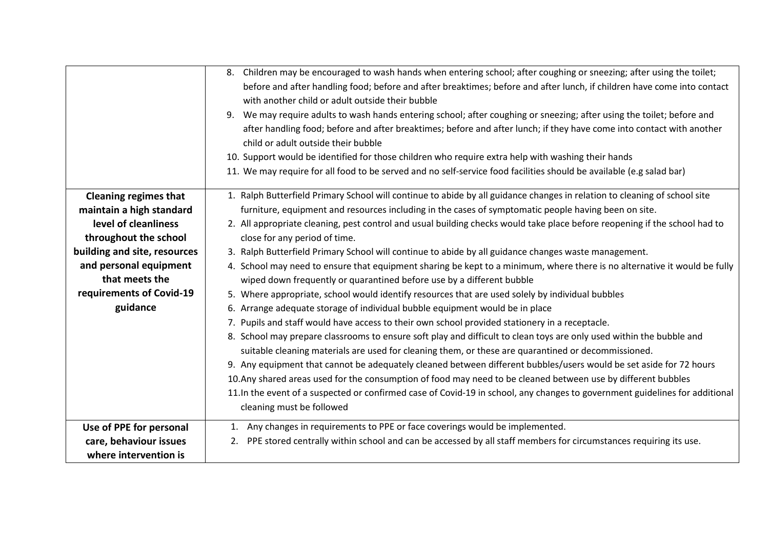|                              | 8. Children may be encouraged to wash hands when entering school; after coughing or sneezing; after using the toilet;        |
|------------------------------|------------------------------------------------------------------------------------------------------------------------------|
|                              | before and after handling food; before and after breaktimes; before and after lunch, if children have come into contact      |
|                              | with another child or adult outside their bubble                                                                             |
|                              | We may require adults to wash hands entering school; after coughing or sneezing; after using the toilet; before and<br>9.    |
|                              | after handling food; before and after breaktimes; before and after lunch; if they have come into contact with another        |
|                              | child or adult outside their bubble                                                                                          |
|                              | 10. Support would be identified for those children who require extra help with washing their hands                           |
|                              | 11. We may require for all food to be served and no self-service food facilities should be available (e.g salad bar)         |
| <b>Cleaning regimes that</b> | 1. Ralph Butterfield Primary School will continue to abide by all guidance changes in relation to cleaning of school site    |
| maintain a high standard     | furniture, equipment and resources including in the cases of symptomatic people having been on site.                         |
| level of cleanliness         | 2. All appropriate cleaning, pest control and usual building checks would take place before reopening if the school had to   |
| throughout the school        | close for any period of time.                                                                                                |
| building and site, resources | 3. Ralph Butterfield Primary School will continue to abide by all guidance changes waste management.                         |
| and personal equipment       | 4. School may need to ensure that equipment sharing be kept to a minimum, where there is no alternative it would be fully    |
| that meets the               | wiped down frequently or quarantined before use by a different bubble                                                        |
| requirements of Covid-19     | 5. Where appropriate, school would identify resources that are used solely by individual bubbles                             |
| guidance                     | 6. Arrange adequate storage of individual bubble equipment would be in place                                                 |
|                              | 7. Pupils and staff would have access to their own school provided stationery in a receptacle.                               |
|                              | 8. School may prepare classrooms to ensure soft play and difficult to clean toys are only used within the bubble and         |
|                              | suitable cleaning materials are used for cleaning them, or these are quarantined or decommissioned.                          |
|                              | 9. Any equipment that cannot be adequately cleaned between different bubbles/users would be set aside for 72 hours           |
|                              | 10. Any shared areas used for the consumption of food may need to be cleaned between use by different bubbles                |
|                              | 11. In the event of a suspected or confirmed case of Covid-19 in school, any changes to government guidelines for additional |
|                              | cleaning must be followed                                                                                                    |
| Use of PPE for personal      | 1. Any changes in requirements to PPE or face coverings would be implemented.                                                |
| care, behaviour issues       | 2. PPE stored centrally within school and can be accessed by all staff members for circumstances requiring its use.          |
| where intervention is        |                                                                                                                              |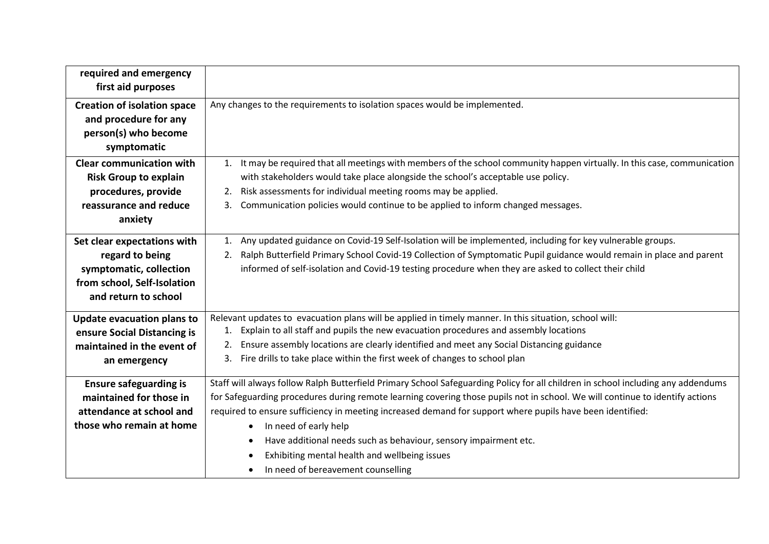| required and emergency<br>first aid purposes                                                                                     |                                                                                                                                                                                                                                                                                                                                                                                                                                                                                                                                                                                                          |
|----------------------------------------------------------------------------------------------------------------------------------|----------------------------------------------------------------------------------------------------------------------------------------------------------------------------------------------------------------------------------------------------------------------------------------------------------------------------------------------------------------------------------------------------------------------------------------------------------------------------------------------------------------------------------------------------------------------------------------------------------|
| <b>Creation of isolation space</b><br>and procedure for any<br>person(s) who become<br>symptomatic                               | Any changes to the requirements to isolation spaces would be implemented.                                                                                                                                                                                                                                                                                                                                                                                                                                                                                                                                |
| <b>Clear communication with</b><br><b>Risk Group to explain</b><br>procedures, provide<br>reassurance and reduce<br>anxiety      | It may be required that all meetings with members of the school community happen virtually. In this case, communication<br>1.<br>with stakeholders would take place alongside the school's acceptable use policy.<br>Risk assessments for individual meeting rooms may be applied.<br>2.<br>Communication policies would continue to be applied to inform changed messages.<br>3.                                                                                                                                                                                                                        |
| Set clear expectations with<br>regard to being<br>symptomatic, collection<br>from school, Self-Isolation<br>and return to school | Any updated guidance on Covid-19 Self-Isolation will be implemented, including for key vulnerable groups.<br>1.<br>Ralph Butterfield Primary School Covid-19 Collection of Symptomatic Pupil guidance would remain in place and parent<br>2.<br>informed of self-isolation and Covid-19 testing procedure when they are asked to collect their child                                                                                                                                                                                                                                                     |
| <b>Update evacuation plans to</b><br>ensure Social Distancing is<br>maintained in the event of<br>an emergency                   | Relevant updates to evacuation plans will be applied in timely manner. In this situation, school will:<br>Explain to all staff and pupils the new evacuation procedures and assembly locations<br>1.<br>Ensure assembly locations are clearly identified and meet any Social Distancing guidance<br>2.<br>Fire drills to take place within the first week of changes to school plan<br>3.                                                                                                                                                                                                                |
| <b>Ensure safeguarding is</b><br>maintained for those in<br>attendance at school and<br>those who remain at home                 | Staff will always follow Ralph Butterfield Primary School Safeguarding Policy for all children in school including any addendums<br>for Safeguarding procedures during remote learning covering those pupils not in school. We will continue to identify actions<br>required to ensure sufficiency in meeting increased demand for support where pupils have been identified:<br>In need of early help<br>$\bullet$<br>Have additional needs such as behaviour, sensory impairment etc.<br>$\bullet$<br>Exhibiting mental health and wellbeing issues<br>$\bullet$<br>In need of bereavement counselling |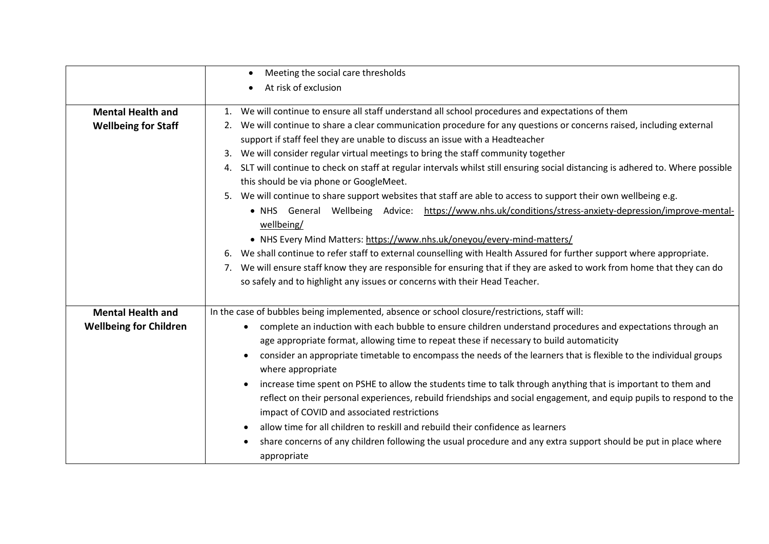|                               | Meeting the social care thresholds<br>$\bullet$                                                                                      |
|-------------------------------|--------------------------------------------------------------------------------------------------------------------------------------|
|                               | At risk of exclusion                                                                                                                 |
|                               |                                                                                                                                      |
| <b>Mental Health and</b>      | 1. We will continue to ensure all staff understand all school procedures and expectations of them                                    |
| <b>Wellbeing for Staff</b>    | We will continue to share a clear communication procedure for any questions or concerns raised, including external                   |
|                               | support if staff feel they are unable to discuss an issue with a Headteacher                                                         |
|                               | We will consider regular virtual meetings to bring the staff community together<br>3.                                                |
|                               | SLT will continue to check on staff at regular intervals whilst still ensuring social distancing is adhered to. Where possible<br>4. |
|                               | this should be via phone or GoogleMeet.                                                                                              |
|                               | 5. We will continue to share support websites that staff are able to access to support their own wellbeing e.g.                      |
|                               | . NHS General Wellbeing Advice: https://www.nhs.uk/conditions/stress-anxiety-depression/improve-mental-                              |
|                               | wellbeing/                                                                                                                           |
|                               | • NHS Every Mind Matters: https://www.nhs.uk/oneyou/every-mind-matters/                                                              |
|                               | 6. We shall continue to refer staff to external counselling with Health Assured for further support where appropriate.               |
|                               | 7. We will ensure staff know they are responsible for ensuring that if they are asked to work from home that they can do             |
|                               | so safely and to highlight any issues or concerns with their Head Teacher.                                                           |
|                               |                                                                                                                                      |
| <b>Mental Health and</b>      | In the case of bubbles being implemented, absence or school closure/restrictions, staff will:                                        |
| <b>Wellbeing for Children</b> | complete an induction with each bubble to ensure children understand procedures and expectations through an                          |
|                               | age appropriate format, allowing time to repeat these if necessary to build automaticity                                             |
|                               | consider an appropriate timetable to encompass the needs of the learners that is flexible to the individual groups                   |
|                               | where appropriate                                                                                                                    |
|                               | increase time spent on PSHE to allow the students time to talk through anything that is important to them and                        |
|                               | reflect on their personal experiences, rebuild friendships and social engagement, and equip pupils to respond to the                 |
|                               | impact of COVID and associated restrictions                                                                                          |
|                               | allow time for all children to reskill and rebuild their confidence as learners                                                      |
|                               | share concerns of any children following the usual procedure and any extra support should be put in place where                      |
|                               | appropriate                                                                                                                          |